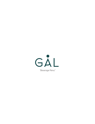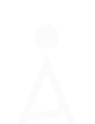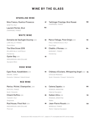## **WINE BY THE GLASS**

### **SPARKLING WINE**

| 87  | Taittinger Prestige, Brut Roseé  | 168 |
|-----|----------------------------------|-----|
|     | CHAMPAGNE, FRANCE                |     |
| 152 |                                  |     |
|     |                                  |     |
| 82  | Marco Felluga, Pinot Grigio 2019 | 110 |
|     | FRIULI-VENEZIA GIULIA, ITALY     |     |
|     | Pinot Grigio                     |     |
| 90  | Chablis J Moreau 2019            | 134 |
|     | <b>BURGUNDY, FRANCE</b>          |     |
|     | Chardonnay                       |     |
| 92  |                                  |     |
|     |                                  |     |
|     |                                  |     |

**ROSE WINE**

*Sauvignon Blanc*

| Egeo Rose, Kavaklidere 2019           | 82 Château d'Esclans, Whispering Angel 2020 115 |  |
|---------------------------------------|-------------------------------------------------|--|
| ANKARA, TURKEY                        | CÔTES DE PROVENCE                               |  |
| Grenache / Calkarasi / Kalecik Karasi | Syrah / Grenache / Cinsault / Vermentino        |  |

### **RED WINE**

| Marius, Michel, Champotier, 2019 | 72 | Catena Zapata 2018          | 105 |
|----------------------------------|----|-----------------------------|-----|
| PAYS D'OC, FRANCE                |    | MENDOZA, ARGENTINA          |     |
| Syrah / Grenache                 |    | Cabernet Sauvignon          |     |
| Chianti Ruffino 2019             | 85 | <b>Kaiken Ultra</b> 2018    | 110 |
| TUSCANY, ITALY                   |    | MENDOZA, ARGENTINA          |     |
| Sangiovese                       |    | Malbec                      |     |
| Mud House, Pinot Noir 2019       | 98 | Jean-Pierre Moueix 2016     | 120 |
| MARLBOROUGH, NEW ZEALAND         |    | <b>BORDEAUX, FRANCE</b>     |     |
| Pinot noir                       |    | Merlot / Cabernet Sauvignon |     |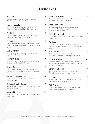# **SIGNATURE**

### Yu Zoom **95**

Lemongrass and Raspberry Infused Gin, Choya Umeshu, Yuzu unsalted, Peach Puree

#### Madesmoiselle **90**

Strawberry Infused Vodka, Strawberry, Grenadine, Watermelon, pasteurized Eggwhite, Orange, Lemon

### Erishteh **90**

Roku Gin, Peach Snapps, Sauvignon Blanc, Peach puree, Elderflower Soda, Fruity Noodle

### Eggnog **85**

Vanilla Infused Vodka, Baileys, Butterscotch liqueur, Soya Milk, White chocolate foam, Coconut Cardamon Bitters

#### **Lucky Monkey**

White Rum, Malibu, Passionfruit, Pineapple, Coco Lopez, Lime Juice, Coconut Bitters

#### **Flamant Rose**

Mirabeau Pink Gin, Peach Snapps, Malibu, Cranberry, Rosemary cordial, Top with Prosecco

#### **Green Mist**

Apple infused Vodka, Lime, Grapefruit juice, Basil, Jasmine Chamomile syrup, Green Apple, Homemade Cinnamon foam

#### Banana Old Fashioned

Zacappa 23 infused with Banana, Homemade Chocolate Bitters

#### **Smoked Rosita Royale**

Don Julio 1942, Carpano Antica Formula, Dolin Rouge, Red Wine reduction

### Negroni Royale **150**

Monkey 47, Carpano Antica Formula, Campari, Chocolate bitters

| 95  | <b>Anatolian Breeze</b><br>Citrus infused Raki, Blue Curacao, Melon Liqueur,<br>Cucumber Juice, Lime, Apple, Mint                             | 85  |
|-----|-----------------------------------------------------------------------------------------------------------------------------------------------|-----|
| 90  | Passion of Love<br>Gin infused with Raspberry Lemongrass, Campari,<br>Aperol, Strawberry, Falernum, Orange Juice,<br>Homemade Passion foam    | 72  |
| 90  | Ta Ta Ta Limonata<br>P31 Liqueur, Italicus Prosecco, Sorento Lemon, Anise<br>Lemon Rind                                                       | 90  |
| 85  | <b>Explosion</b><br>Strawberry black pepper infused Gin, Prosecco,<br>Falernum, Elderflower soda, Lemon juice, Popping<br>Candy               | 92  |
| 90  | Germain 47<br>Monkey 47, Sauvignon Blanc, Dolin Bianco,<br>St. Germain, Homemade Rosemary syrup, Lemon                                        | 95  |
| 80  | Time to Thyme<br>Monkey 47 infused with Thyme, Italicus Liqueur,<br>Homemade spiced Thyme syrup, Lemon, Orange juice,<br>pasteurized Eggwhite | 135 |
| 84  | Serefe! - Cheers!<br>Raki infused with citrus peels, Pineapple juice,<br>Vanilla Bitter Homemade syrup, Lime juice                            | 70  |
| 150 | Lollipop<br>Bubblegum infused Vodka, Sweet & Sour mix, Lem-<br>onade, Homemade Cinnamon foam                                                  | 90  |
| 350 | <b>GAL Spritz</b><br>Aperol infused with berries, Prosecco, Elderflower<br>soda, Blueberry, Raspberry, Strawberry                             | 76  |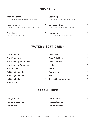# **MOCKTAIL**

| Jasmine Cooler<br>Fresh Cucumber, Chamomile syrup, Jasmine tea,<br>Ginger ale, Lemon juice | 42 | <b>Scarlet Sip</b><br>Fresh Raspberry, Hibiscus, Lime, Tonic water | 52 |
|--------------------------------------------------------------------------------------------|----|--------------------------------------------------------------------|----|
| <b>Passion Peach</b><br>Passionfruit, Peach puree, Banana, Green apple juice               | 46 | <b>Strawberry Slash</b><br>Fresh Strawberry, Lychee fruit, Yoghurt | 46 |
| <b>Green Detox</b><br>Celery, Apple, Ginger, Parsley                                       | 46 | Manzanita<br>Fresh Green Apple, Lemonade, Lime                     | 46 |

### **WATER / SOFT DRINK**

| Eira Water Small                  | 30 | Coca Cola                | 29 |
|-----------------------------------|----|--------------------------|----|
| Eira Water Large                  | 48 | Coca Cola Light          | 29 |
| <b>Eira Sparkling Water Small</b> | 30 | Coca Cola Zero           | 29 |
| Eira Sparkling Water Large        | 48 | Fanta                    | 29 |
| Perrier 330ml                     | 29 | Sprite                   | 29 |
| <b>Goldberg Ginger Beer</b>       | 29 | <b>Sprite Light</b>      | 29 |
| Goldberg Ginger Ale               | 29 | Redbull                  | 49 |
| Goldberg Soda                     | 29 | Tassoni Elderflower Soda | 29 |
| <b>Goldberg Tonic</b>             | 29 |                          |    |

# **FRESH JUICE**

| Orange Juice      | 42 Carrot Juice     | 42 |
|-------------------|---------------------|----|
| Pomegranate Juice | 42 Pineapple Juice  | 42 |
| Apple Juice       | 42 Grapefruit Juice | 42 |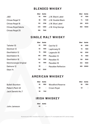# **BLENDED WHISKY**

|                            | 30ml | <b>Bottle</b> |                   | 30ml | <b>Bottle</b> |
|----------------------------|------|---------------|-------------------|------|---------------|
| J&B                        | 50   | 1000          | J.W. Black Label  | 67   | 1500          |
| Chivas Regal 12            | 66   | 1350          | J.W. Double Black | 74   | 1490          |
| Chivas Regal 18            | 132  | 2790          | J.W. Blue Label   | 255  | 5570          |
| <b>Chivas Royal Salute</b> | 220  | 4800          | J.W. King George  | 650  | 15000         |
| Chivas Regal 25            | 355  | 7500          |                   |      |               |

## **SINGLE MALT WHISKY**

|                       | 30ml | <b>Bottle</b> |                           | 30ml | <b>Bottle</b> |
|-----------------------|------|---------------|---------------------------|------|---------------|
| Talisker 10           | 62   | 1300          | Caol IIa 12               | 95   | 2300          |
| Glenlivet 12          | 62   | 1300          | Laphroaig 10              | 70   | 1600          |
| Glenfiddich 12        | 75   | 1690          | Lagavulin 16              | 162  | 3250          |
| Glenfiddich 15        | 105  | 2350          | Macallan 12               | 78   | 1800          |
| Glenfiddich 18        | 140  | 3150          | Macallan 15               | 158  | 3500          |
| Glenmorangie Original | 62   | 1300          | Macallan 18               | 252  | 5500          |
| Dalmore 12            | 96   | ۰             | <b>Macallan Reflexion</b> | 905  | 20600         |
| Oban 14               | 142  | 3200          |                           |      |               |

# **AMERICAN WHISKEY**

|                        | 30ml | <b>Bottle</b> |                  | 30ml | Bottle |
|------------------------|------|---------------|------------------|------|--------|
| <b>Bulleit Bourbon</b> | 55   | 1850          | Woodford Reserve | 60   | 1350   |
| Maker's Mark 46        | 58   |               | - Crown Royal    | 48   | $\sim$ |
| Jack Daniel's No.7     | 56   | 1140          |                  |      |        |

### **IRISH WHISKEY**

John Jameson **52 -**

*30ml Bottle*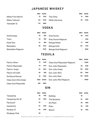# **JAPANESE WHISKEY**

|                   | 30ml | <b>Bottle</b> |                | 30ml | <b>Bottle</b> |
|-------------------|------|---------------|----------------|------|---------------|
| Nikka From Barrel | 75   |               | 1200 The Chita | 75   | 1800          |
| Nikka Tailored    | 140  | 3400          | Hibiki Harmony | 110  | 2400          |
| Yamazaki 12       | 170  | 3900          |                |      |               |

### **VODKA**

|                         | 30ml | <b>Bottle</b> |                          | 30ml | <b>Bottle</b> |
|-------------------------|------|---------------|--------------------------|------|---------------|
| Stolichnaya             | 45   | 950           | <b>Grey Goose</b>        | 65   | 1540          |
| Tito's                  | 46   | 950           | <b>Grey Goose Magnum</b> | ۰    | 3100          |
| <b>Ketel One</b>        | 52   | 990           | Beluga Nobel             | 74   | 1590          |
| <b>Belvedere</b>        | 65   | 1540          | Beluga Gold              | 145  | 3170          |
| <b>Belvedere Magnum</b> | ۰    | 3400          | Beluga Gold Magnum       | ۰    | 6500          |

# **TEQUILA**

|                        | 30ml | <b>Bottle</b> |                            | 30ml | <b>Bottle</b> |
|------------------------|------|---------------|----------------------------|------|---------------|
| <b>Patron Silver</b>   | 75   | 1490          | Clase Azul Reposado Magnum | ۰.   | 13300         |
| Patron Reposado        | 78   | 1740          | Don Julio Reposado         | 115  | 2790          |
| Patron Anejo           | 84   | 1840          | Don Julio Anejo            | 135  | 3300          |
| Patron XO Café         | 60   | 890           | Don Julio 1942             | 310  | 7600          |
| Se Busca Mezcal        | 70   | 1500          | Don Julio Real             | 415  | 10200         |
| Clase Azul Ultra Anejo | 3600 | 82000         | Don Julio 1942 Magnum      |      | 16900         |
| Clase Azul Reposado    | 260  | 5950          |                            |      |               |

### **GIN**

|                      | 30ml | <b>Bottle</b> |                     | 30ml | <b>Bottle</b> |
|----------------------|------|---------------|---------------------|------|---------------|
| <b>Tanqueray</b>     | 55   | 1100          | <b>Bulldog</b>      | 55   | ۰.            |
| Tangueray No.10      | 62   | 1250          | <b>The Botanist</b> | 84   | 1900          |
| Plymouth             | 52   | ٠             | <b>Gin Mare</b>     | 80   | 1600          |
| Hendrick's           | 64   | 1250          | Roku                | 60   | 1100          |
| Monkey 47            | 94   | 1300          | <b>Bloom</b>        | 60   | 1200          |
| <b>Mirabeau Pink</b> | 60   | ۰             |                     |      |               |

All prices are in AED, inclusive of 5% V.A.T., subject to 7% municipality fee & 10% service charge.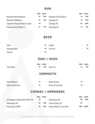# **RUM**

|                            | 30ml | <b>Bottle</b> |                     | 30ml | <b>Bottle</b> |
|----------------------------|------|---------------|---------------------|------|---------------|
| Bacardi Carta Blanca       | 50   | 1000          | Havana Club Añejo 7 | 56   | 1300          |
| Bacardi Oakheart           | 50   | 1100          | Zacapa 23           | 82   | 1800          |
| Captain Morgan Black Label | 46   | $\sim 100$    | Zacapa XO           | 154  | 2800          |
| Havana Club Añejo 3        | 52   | 1100          | Cachaca 51          | 42   | 900           |

### **BEER**

| <b>Efes</b> |                          |     | - 55 Asahi  | $\sim$ 10 $\,$ | 55 |
|-------------|--------------------------|-----|-------------|----------------|----|
| Hoegaarden  |                          |     | - 55 Corona | $\sim$         | 55 |
| Peroni      | $\overline{\phantom{a}}$ | -55 |             |                |    |

# **RAKI / OUZO**

|           |  | 30ml Bottle |             |    | 30ml Bottle |
|-----------|--|-------------|-------------|----|-------------|
| Yeni Raki |  |             | 950 Ouzo 12 | 46 | 850         |

### **VERMOUTH**

| <b>Dolin Bianco</b> |  | - Dolin Rosso    |    | $\overline{\phantom{a}}$ |
|---------------------|--|------------------|----|--------------------------|
| Dolin Extra Dry     |  | - Antica Formula | 60 | $\overline{\phantom{a}}$ |

# **COGNAC / ARMAGNAC**

|                            | <b>30ml</b> | <b>Bottle</b> |                               | 30ml | Bottle |
|----------------------------|-------------|---------------|-------------------------------|------|--------|
| Armagnac Castarede VSOP 10 | 78          |               | - Hennessy XO                 | 168  | 3800   |
| <b>Hennessy VS</b>         | 62          | 1350          | Courvoisier XO                | 162  | $\sim$ |
| <b>Hennessy VSOP</b>       | 86          | 1850          | <b>Remy Martin Louis XIII</b> | 2950 | 68000  |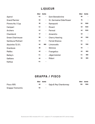# **LIQUEUR**

|                         | 30ml | <b>Bottle</b>  |                                 | <b>30ml</b> | <b>Bottle</b>            |
|-------------------------|------|----------------|---------------------------------|-------------|--------------------------|
| Aperol                  | 42   | $\blacksquare$ | <b>Dom Benedictine</b>          | 65          |                          |
| <b>Grand Marnier</b>    | 45   | ۰.             | <b>St. Germaine Elderflower</b> | 75          |                          |
| Pimms No.1 Cup          | 38   | ۰              | Ramazotti                       | 52          | 1000                     |
| Campari                 | 42   | ۰              | <b>Ricard</b>                   | 48          | 1020                     |
| <b>Archers</b>          | 42   | ۰              | Pernod                          | 48          | 1020                     |
| Chambord                | 47   | ۰              | Amaretto                        | 48          | $\overline{\phantom{a}}$ |
| <b>Green Chartreuse</b> | 58   | ۰.             | <b>Cherry Heering</b>           | 48          | 1100                     |
| Sambuca Molinari        | 42   | ۰.             | <b>Fernet Branca</b>            | 44          | $\overline{\phantom{a}}$ |
| Absinthe 72.5%          | 48   | 980            | Limoncello                      | 52          | 1100                     |
| <b>Drambuie</b>         | 38   | ۰              | <b>Skinnos</b>                  | 45          |                          |
| Malibu                  | 48   | ۳              | Frangelico                      | 45          | 900                      |
| Bailey's                | 44   | ۰.             | Jägermeister                    | 44          | 890                      |
| Galliano                | 45   | $\blacksquare$ | Midori                          | 50          | 900                      |
| Kahlua                  | 44   |                |                                 |             |                          |

# **GRAPPA / PISCO**

|                   | 30ml | Bottle |                         | 30ml | Bottle |
|-------------------|------|--------|-------------------------|------|--------|
| <b>Pisco 1615</b> | 46   |        | - Gaja & Rey Chardonnay | 130  | 1550   |
| Grappa Tremontis  | 52   | $\sim$ |                         |      |        |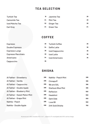# **TEA SELECTION**

| <b>Turkish Tea</b> | 19 | Jasmine Tea | 26 |
|--------------------|----|-------------|----|
| Camomile Tea       | 24 | Mint Tea    | 28 |
| Iced Matcha Tea    | 52 | Ginger Tea  | 28 |
| <b>Earl Grey</b>   | 24 | Green Tea   | 24 |

# **COFFEE**

| <b>Espresso</b>           | 26 | <b>Turkish Coffee</b> | 26 |
|---------------------------|----|-----------------------|----|
| Double Espresso           | 34 | <b>Selfie Latte</b>   | 36 |
| Espresso Lungo            | 26 | Iced Cappuccino       | 36 |
| <b>Espresso Macchiato</b> | 28 | <b>Iced Latte</b>     | 36 |
| Americano                 | 34 | Iced Americano        | 35 |
| Cappuccino                | 35 |                       |    |

# **SHISHA**

| Al Fakher - Strawberry       | 295 | Nakhla - Peach Mint       | 295 |
|------------------------------|-----|---------------------------|-----|
| Al Fakher - Vanilla          | 295 | Cinnapuff                 | 395 |
| Al Fakher - Cappuccino       | 295 | We are GAL                | 395 |
| Al Fakher - Double Apple     | 295 | <b>Starbuzz Blue Mist</b> | 395 |
| Al Fakher - Blueberry Mint   | 295 | Reflexion                 | 550 |
| Al Fakher - Sweet Melon Mint | 295 | Headshot                  | 550 |
| Al Fakher - Grape Mint       | 295 | Dark Side                 | 550 |
| Nakhla - Peach               | 295 | Love 66                   | 550 |
| Nakhla - Double Apple        | 295 | 24K Gold Shisha           | 750 |